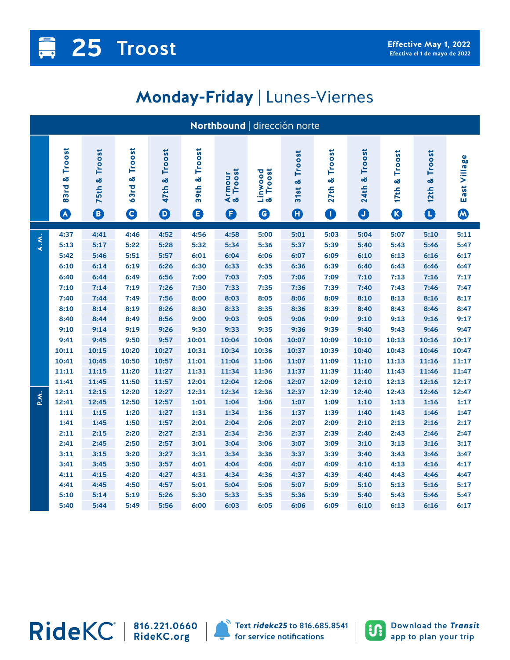## **Monday-Friday** | Lunes-Viernes

| Northbound   dirección norte |                                        |                                               |                                  |                                              |                          |                         |                                         |                                         |                               |                                           |                          |                                    |                   |
|------------------------------|----------------------------------------|-----------------------------------------------|----------------------------------|----------------------------------------------|--------------------------|-------------------------|-----------------------------------------|-----------------------------------------|-------------------------------|-------------------------------------------|--------------------------|------------------------------------|-------------------|
|                              | 83rd & Troost<br>$\boldsymbol{\Omega}$ | Troost<br>οð<br>75th<br>$\boldsymbol{\Theta}$ | Troost<br>×<br>63rd<br>$\bullet$ | Troost<br>×<br>47th<br>$\boldsymbol{\Theta}$ | Troost<br>œ<br>39th<br>❶ | Armour<br>& Troost<br>O | & Troost<br>Linwood<br>$\mathbf \Theta$ | Troost<br>31st &<br>$\boldsymbol{\Phi}$ | Troost<br>27th &<br>$\bullet$ | Troost<br>×<br><b>24th</b><br>$\mathbf 0$ | Troost<br>œ<br>17th<br>B | Troost<br>×<br>12th<br>$\mathbf 0$ | East Village<br>W |
| A.M.                         | 4:37<br>5:13                           | 4:41<br>5:17                                  | 4:46<br>5:22                     | 4:52<br>5:28                                 | 4:56<br>5:32             | 4:58<br>5:34            | 5:00<br>5:36                            | 5:01<br>5:37                            | 5:03<br>5:39                  | 5:04<br>5:40                              | 5:07<br>5:43             | 5:10<br>5:46                       | 5:11<br>5:47      |
|                              | 5:42                                   | 5:46                                          | 5:51                             | 5:57                                         | 6:01                     | 6:04                    | 6:06                                    | 6:07                                    | 6:09                          | 6:10                                      | 6:13                     | 6:16                               | 6:17              |
|                              | 6:10                                   | 6:14                                          | 6:19                             | 6:26                                         | 6:30                     | 6:33                    | 6:35                                    | 6:36                                    | 6:39                          | 6:40                                      | 6:43                     | 6:46                               | 6:47              |
|                              | 6:40<br>7:10                           | 6:44<br>7:14                                  | 6:49<br>7:19                     | 6:56<br>7:26                                 | 7:00<br>7:30             | 7:03<br>7:33            | 7:05<br>7:35                            | 7:06<br>7:36                            | 7:09<br>7:39                  | 7:10<br>7:40                              | 7:13<br>7:43             | 7:16<br>7:46                       | 7:17<br>7:47      |
|                              | 7:40                                   | 7:44                                          | 7:49                             | 7:56                                         | 8:00                     | 8:03                    | 8:05                                    | 8:06                                    | 8:09                          | 8:10                                      | 8:13                     | 8:16                               | 8:17              |
|                              | 8:10                                   | 8:14                                          | 8:19                             | 8:26                                         | 8:30                     | 8:33                    | 8:35                                    | 8:36                                    | 8:39                          | 8:40                                      | 8:43                     | 8:46                               | 8:47              |
|                              | 8:40                                   | 8:44                                          | 8:49                             | 8:56                                         | 9:00                     | 9:03                    | 9:05                                    | 9:06                                    | 9:09                          | 9:10                                      | 9:13                     | 9:16                               | 9:17              |
|                              | 9:10                                   | 9:14                                          | 9:19                             | 9:26                                         | 9:30                     | 9:33                    | 9:35                                    | 9:36                                    | 9:39                          | 9:40                                      | 9:43                     | 9:46                               | 9:47              |
|                              | 9:41                                   | 9:45                                          | 9:50                             | 9:57                                         | 10:01                    | 10:04                   | 10:06                                   | 10:07                                   | 10:09                         | 10:10                                     | 10:13                    | 10:16                              | 10:17             |
|                              | 10:11                                  | 10:15                                         | 10:20                            | 10:27                                        | 10:31                    | 10:34                   | 10:36                                   | 10:37                                   | 10:39                         | 10:40                                     | 10:43                    | 10:46                              | 10:47             |
|                              | 10:41                                  | 10:45                                         | 10:50                            | 10:57                                        | 11:01                    | 11:04                   | 11:06                                   | 11:07                                   | 11:09                         | 11:10                                     | 11:13                    | 11:16                              | 11:17             |
|                              | 11:11                                  | 11:15                                         | 11:20                            | 11:27                                        | 11:31                    | 11:34                   | 11:36                                   | 11:37                                   | 11:39                         | 11:40                                     | 11:43                    | 11:46                              | 11:47             |
|                              | 11:41                                  | 11:45                                         | 11:50                            | 11:57                                        | 12:01                    | 12:04                   | 12:06                                   | 12:07                                   | 12:09                         | 12:10                                     | 12:13                    | 12:16                              | 12:17             |
| P.M.                         | 12:11                                  | 12:15                                         | 12:20                            | 12:27                                        | 12:31                    | 12:34                   | 12:36                                   | 12:37                                   | 12:39                         | 12:40                                     | 12:43                    | 12:46                              | 12:47             |
|                              | 12:41                                  | 12:45                                         | 12:50                            | 12:57                                        | 1:01                     | 1:04                    | 1:06                                    | 1:07                                    | 1:09                          | 1:10                                      | 1:13                     | 1:16                               | 1:17              |
|                              | 1:11                                   | 1:15                                          | 1:20                             | 1:27                                         | 1:31                     | 1:34                    | 1:36                                    | 1:37                                    | 1:39                          | 1:40                                      | 1:43                     | 1:46                               | 1:47              |
|                              | 1:41<br>2:11                           | 1:45<br>2:15                                  | 1:50<br>2:20                     | 1:57<br>2:27                                 | 2:01<br>2:31             | 2:04<br>2:34            | 2:06<br>2:36                            | 2:07<br>2:37                            | 2:09<br>2:39                  | 2:10<br>2:40                              | 2:13<br>2:43             | 2:16<br>2:46                       | 2:17<br>2:47      |
|                              | 2:41                                   | 2:45                                          | 2:50                             | 2:57                                         | 3:01                     | 3:04                    | 3:06                                    | 3:07                                    | 3:09                          | 3:10                                      | 3:13                     | 3:16                               | 3:17              |
|                              | 3:11                                   | 3:15                                          | 3:20                             | 3:27                                         | 3:31                     | 3:34                    | 3:36                                    | 3:37                                    | 3:39                          | 3:40                                      | 3:43                     | 3:46                               | 3:47              |
|                              | 3:41                                   | 3:45                                          | 3:50                             | 3:57                                         | 4:01                     | 4:04                    | 4:06                                    | 4:07                                    | 4:09                          | 4:10                                      | 4:13                     | 4:16                               | 4:17              |
|                              | 4:11                                   | 4:15                                          | 4:20                             | 4:27                                         | 4:31                     | 4:34                    | 4:36                                    | 4:37                                    | 4:39                          | 4:40                                      | 4:43                     | 4:46                               | 4:47              |
|                              | 4:41                                   | 4:45                                          | 4:50                             | 4:57                                         | 5:01                     | 5:04                    | 5:06                                    | 5:07                                    | 5:09                          | 5:10                                      | 5:13                     | 5:16                               | 5:17              |
|                              | 5:10                                   | 5:14                                          | 5:19                             | 5:26                                         | 5:30                     | 5:33                    | 5:35                                    | 5:36                                    | 5:39                          | 5:40                                      | 5:43                     | 5:46                               | 5:47              |
|                              | 5:40                                   | 5:44                                          | 5:49                             | 5:56                                         | 6:00                     | 6:03                    | 6:05                                    | 6:06                                    | 6:09                          | 6:10                                      | 6:13                     | 6:16                               | 6:17              |

**816.221.0660 RideKC.org**